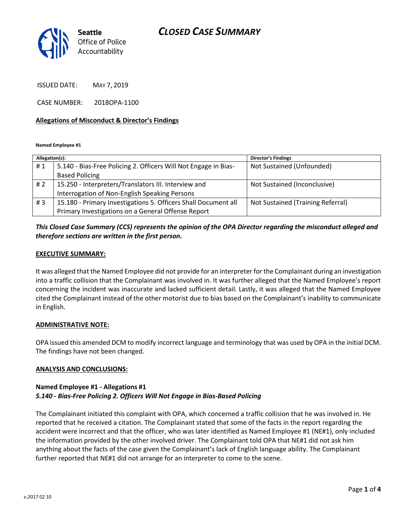## *CLOSED CASE SUMMARY*



ISSUED DATE: MAY 7, 2019

CASE NUMBER: 2018OPA-1100

#### **Allegations of Misconduct & Director's Findings**

**Named Employee #1**

| Allegation(s): |                                                                 | <b>Director's Findings</b>        |
|----------------|-----------------------------------------------------------------|-----------------------------------|
| #1             | 5.140 - Bias-Free Policing 2. Officers Will Not Engage in Bias- | Not Sustained (Unfounded)         |
|                | <b>Based Policing</b>                                           |                                   |
| #2             | 15.250 - Interpreters/Translators III. Interview and            | Not Sustained (Inconclusive)      |
|                | Interrogation of Non-English Speaking Persons                   |                                   |
| #3             | 15.180 - Primary Investigations 5. Officers Shall Document all  | Not Sustained (Training Referral) |
|                | Primary Investigations on a General Offense Report              |                                   |

### *This Closed Case Summary (CCS) represents the opinion of the OPA Director regarding the misconduct alleged and therefore sections are written in the first person.*

#### **EXECUTIVE SUMMARY:**

It was alleged that the Named Employee did not provide for an interpreter for the Complainant during an investigation into a traffic collision that the Complainant was involved in. It was further alleged that the Named Employee's report concerning the incident was inaccurate and lacked sufficient detail. Lastly, it was alleged that the Named Employee cited the Complainant instead of the other motorist due to bias based on the Complainant's inability to communicate in English.

#### **ADMINISTRATIVE NOTE:**

OPA issued this amended DCM to modify incorrect language and terminology that was used by OPA in the initial DCM. The findings have not been changed.

#### **ANALYSIS AND CONCLUSIONS:**

#### **Named Employee #1 - Allegations #1** *5.140 - Bias-Free Policing 2. Officers Will Not Engage in Bias-Based Policing*

The Complainant initiated this complaint with OPA, which concerned a traffic collision that he was involved in. He reported that he received a citation. The Complainant stated that some of the facts in the report regarding the accident were incorrect and that the officer, who was later identified as Named Employee #1 (NE#1), only included the information provided by the other involved driver. The Complainant told OPA that NE#1 did not ask him anything about the facts of the case given the Complainant's lack of English language ability. The Complainant further reported that NE#1 did not arrange for an interpreter to come to the scene.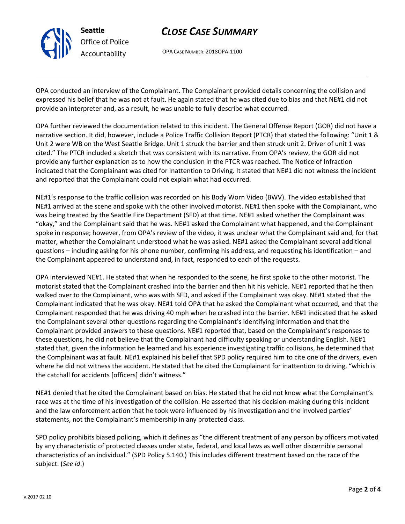

# *CLOSE CASE SUMMARY*

OPA CASE NUMBER: 2018OPA-1100

OPA conducted an interview of the Complainant. The Complainant provided details concerning the collision and expressed his belief that he was not at fault. He again stated that he was cited due to bias and that NE#1 did not provide an interpreter and, as a result, he was unable to fully describe what occurred.

OPA further reviewed the documentation related to this incident. The General Offense Report (GOR) did not have a narrative section. It did, however, include a Police Traffic Collision Report (PTCR) that stated the following: "Unit 1 & Unit 2 were WB on the West Seattle Bridge. Unit 1 struck the barrier and then struck unit 2. Driver of unit 1 was cited." The PTCR included a sketch that was consistent with its narrative. From OPA's review, the GOR did not provide any further explanation as to how the conclusion in the PTCR was reached. The Notice of Infraction indicated that the Complainant was cited for Inattention to Driving. It stated that NE#1 did not witness the incident and reported that the Complainant could not explain what had occurred.

NE#1's response to the traffic collision was recorded on his Body Worn Video (BWV). The video established that NE#1 arrived at the scene and spoke with the other involved motorist. NE#1 then spoke with the Complainant, who was being treated by the Seattle Fire Department (SFD) at that time. NE#1 asked whether the Complainant was "okay," and the Complainant said that he was. NE#1 asked the Complainant what happened, and the Complainant spoke in response; however, from OPA's review of the video, it was unclear what the Complainant said and, for that matter, whether the Complainant understood what he was asked. NE#1 asked the Complainant several additional questions – including asking for his phone number, confirming his address, and requesting his identification – and the Complainant appeared to understand and, in fact, responded to each of the requests.

OPA interviewed NE#1. He stated that when he responded to the scene, he first spoke to the other motorist. The motorist stated that the Complainant crashed into the barrier and then hit his vehicle. NE#1 reported that he then walked over to the Complainant, who was with SFD, and asked if the Complainant was okay. NE#1 stated that the Complainant indicated that he was okay. NE#1 told OPA that he asked the Complainant what occurred, and that the Complainant responded that he was driving 40 mph when he crashed into the barrier. NE#1 indicated that he asked the Complainant several other questions regarding the Complainant's identifying information and that the Complainant provided answers to these questions. NE#1 reported that, based on the Complainant's responses to these questions, he did not believe that the Complainant had difficulty speaking or understanding English. NE#1 stated that, given the information he learned and his experience investigating traffic collisions, he determined that the Complainant was at fault. NE#1 explained his belief that SPD policy required him to cite one of the drivers, even where he did not witness the accident. He stated that he cited the Complainant for inattention to driving, "which is the catchall for accidents [officers] didn't witness."

NE#1 denied that he cited the Complainant based on bias. He stated that he did not know what the Complainant's race was at the time of his investigation of the collision. He asserted that his decision-making during this incident and the law enforcement action that he took were influenced by his investigation and the involved parties' statements, not the Complainant's membership in any protected class.

SPD policy prohibits biased policing, which it defines as "the different treatment of any person by officers motivated by any characteristic of protected classes under state, federal, and local laws as well other discernible personal characteristics of an individual." (SPD Policy 5.140.) This includes different treatment based on the race of the subject. (*See id*.)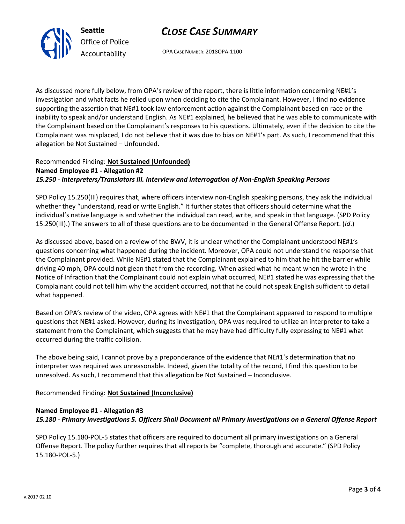## *CLOSE CASE SUMMARY*



OPA CASE NUMBER: 2018OPA-1100

As discussed more fully below, from OPA's review of the report, there is little information concerning NE#1's investigation and what facts he relied upon when deciding to cite the Complainant. However, I find no evidence supporting the assertion that NE#1 took law enforcement action against the Complainant based on race or the inability to speak and/or understand English. As NE#1 explained, he believed that he was able to communicate with the Complainant based on the Complainant's responses to his questions. Ultimately, even if the decision to cite the Complainant was misplaced, I do not believe that it was due to bias on NE#1's part. As such, I recommend that this allegation be Not Sustained – Unfounded.

## Recommended Finding: **Not Sustained (Unfounded) Named Employee #1 - Allegation #2** *15.250 - Interpreters/Translators III. Interview and Interrogation of Non-English Speaking Persons*

SPD Policy 15.250(III) requires that, where officers interview non-English speaking persons, they ask the individual whether they "understand, read or write English." It further states that officers should determine what the individual's native language is and whether the individual can read, write, and speak in that language. (SPD Policy 15.250(III).) The answers to all of these questions are to be documented in the General Offense Report. (*Id*.)

As discussed above, based on a review of the BWV, it is unclear whether the Complainant understood NE#1's questions concerning what happened during the incident. Moreover, OPA could not understand the response that the Complainant provided. While NE#1 stated that the Complainant explained to him that he hit the barrier while driving 40 mph, OPA could not glean that from the recording. When asked what he meant when he wrote in the Notice of Infraction that the Complainant could not explain what occurred, NE#1 stated he was expressing that the Complainant could not tell him why the accident occurred, not that he could not speak English sufficient to detail what happened.

Based on OPA's review of the video, OPA agrees with NE#1 that the Complainant appeared to respond to multiple questions that NE#1 asked. However, during its investigation, OPA was required to utilize an interpreter to take a statement from the Complainant, which suggests that he may have had difficulty fully expressing to NE#1 what occurred during the traffic collision.

The above being said, I cannot prove by a preponderance of the evidence that NE#1's determination that no interpreter was required was unreasonable. Indeed, given the totality of the record, I find this question to be unresolved. As such, I recommend that this allegation be Not Sustained – Inconclusive.

Recommended Finding: **Not Sustained (Inconclusive)**

### **Named Employee #1 - Allegation #3**

*15.180 - Primary Investigations 5. Officers Shall Document all Primary Investigations on a General Offense Report*

SPD Policy 15.180-POL-5 states that officers are required to document all primary investigations on a General Offense Report. The policy further requires that all reports be "complete, thorough and accurate." (SPD Policy 15.180-POL-5.)